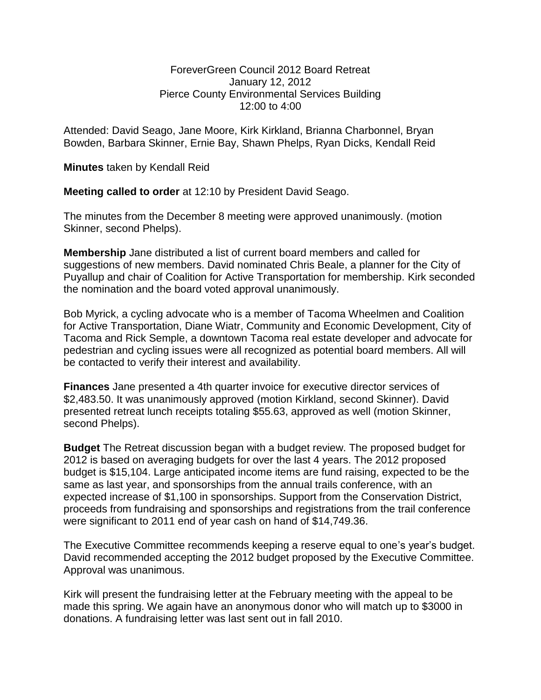## ForeverGreen Council 2012 Board Retreat January 12, 2012 Pierce County Environmental Services Building 12:00 to 4:00

Attended: David Seago, Jane Moore, Kirk Kirkland, Brianna Charbonnel, Bryan Bowden, Barbara Skinner, Ernie Bay, Shawn Phelps, Ryan Dicks, Kendall Reid

**Minutes** taken by Kendall Reid

**Meeting called to order** at 12:10 by President David Seago.

The minutes from the December 8 meeting were approved unanimously. (motion Skinner, second Phelps).

**Membership** Jane distributed a list of current board members and called for suggestions of new members. David nominated Chris Beale, a planner for the City of Puyallup and chair of Coalition for Active Transportation for membership. Kirk seconded the nomination and the board voted approval unanimously.

Bob Myrick, a cycling advocate who is a member of Tacoma Wheelmen and Coalition for Active Transportation, Diane Wiatr, Community and Economic Development, City of Tacoma and Rick Semple, a downtown Tacoma real estate developer and advocate for pedestrian and cycling issues were all recognized as potential board members. All will be contacted to verify their interest and availability.

**Finances** Jane presented a 4th quarter invoice for executive director services of \$2,483.50. It was unanimously approved (motion Kirkland, second Skinner). David presented retreat lunch receipts totaling \$55.63, approved as well (motion Skinner, second Phelps).

**Budget** The Retreat discussion began with a budget review. The proposed budget for 2012 is based on averaging budgets for over the last 4 years. The 2012 proposed budget is \$15,104. Large anticipated income items are fund raising, expected to be the same as last year, and sponsorships from the annual trails conference, with an expected increase of \$1,100 in sponsorships. Support from the Conservation District, proceeds from fundraising and sponsorships and registrations from the trail conference were significant to 2011 end of year cash on hand of \$14,749.36.

The Executive Committee recommends keeping a reserve equal to one's year's budget. David recommended accepting the 2012 budget proposed by the Executive Committee. Approval was unanimous.

Kirk will present the fundraising letter at the February meeting with the appeal to be made this spring. We again have an anonymous donor who will match up to \$3000 in donations. A fundraising letter was last sent out in fall 2010.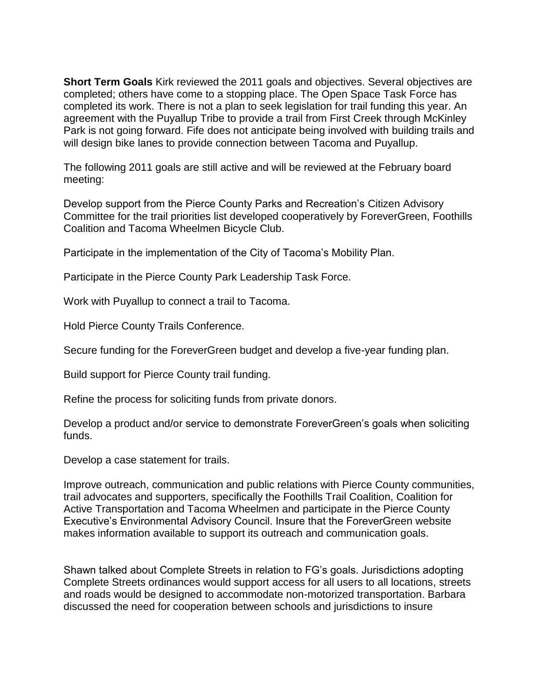**Short Term Goals** Kirk reviewed the 2011 goals and objectives. Several objectives are completed; others have come to a stopping place. The Open Space Task Force has completed its work. There is not a plan to seek legislation for trail funding this year. An agreement with the Puyallup Tribe to provide a trail from First Creek through McKinley Park is not going forward. Fife does not anticipate being involved with building trails and will design bike lanes to provide connection between Tacoma and Puyallup.

The following 2011 goals are still active and will be reviewed at the February board meeting:

Develop support from the Pierce County Parks and Recreation's Citizen Advisory Committee for the trail priorities list developed cooperatively by ForeverGreen, Foothills Coalition and Tacoma Wheelmen Bicycle Club.

Participate in the implementation of the City of Tacoma's Mobility Plan.

Participate in the Pierce County Park Leadership Task Force.

Work with Puyallup to connect a trail to Tacoma.

Hold Pierce County Trails Conference.

Secure funding for the ForeverGreen budget and develop a five-year funding plan.

Build support for Pierce County trail funding.

Refine the process for soliciting funds from private donors.

Develop a product and/or service to demonstrate ForeverGreen's goals when soliciting funds.

Develop a case statement for trails.

Improve outreach, communication and public relations with Pierce County communities, trail advocates and supporters, specifically the Foothills Trail Coalition, Coalition for Active Transportation and Tacoma Wheelmen and participate in the Pierce County Executive's Environmental Advisory Council. Insure that the ForeverGreen website makes information available to support its outreach and communication goals.

Shawn talked about Complete Streets in relation to FG's goals. Jurisdictions adopting Complete Streets ordinances would support access for all users to all locations, streets and roads would be designed to accommodate non-motorized transportation. Barbara discussed the need for cooperation between schools and jurisdictions to insure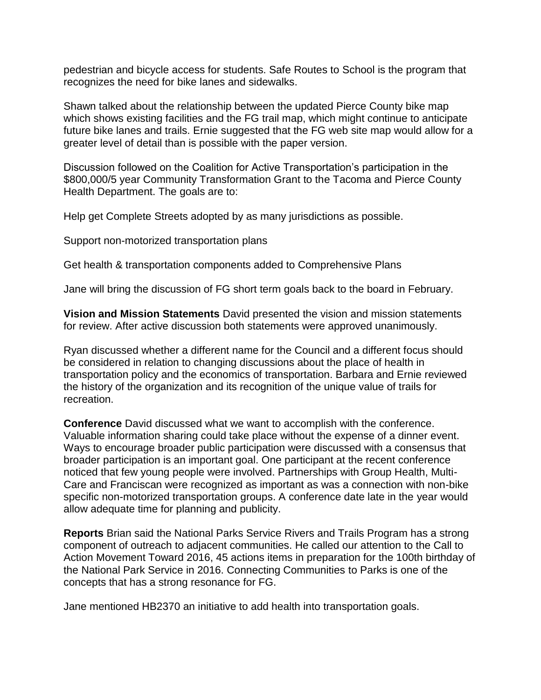pedestrian and bicycle access for students. Safe Routes to School is the program that recognizes the need for bike lanes and sidewalks.

Shawn talked about the relationship between the updated Pierce County bike map which shows existing facilities and the FG trail map, which might continue to anticipate future bike lanes and trails. Ernie suggested that the FG web site map would allow for a greater level of detail than is possible with the paper version.

Discussion followed on the Coalition for Active Transportation's participation in the \$800,000/5 year Community Transformation Grant to the Tacoma and Pierce County Health Department. The goals are to:

Help get Complete Streets adopted by as many jurisdictions as possible.

Support non-motorized transportation plans

Get health & transportation components added to Comprehensive Plans

Jane will bring the discussion of FG short term goals back to the board in February.

**Vision and Mission Statements** David presented the vision and mission statements for review. After active discussion both statements were approved unanimously.

Ryan discussed whether a different name for the Council and a different focus should be considered in relation to changing discussions about the place of health in transportation policy and the economics of transportation. Barbara and Ernie reviewed the history of the organization and its recognition of the unique value of trails for recreation.

**Conference** David discussed what we want to accomplish with the conference. Valuable information sharing could take place without the expense of a dinner event. Ways to encourage broader public participation were discussed with a consensus that broader participation is an important goal. One participant at the recent conference noticed that few young people were involved. Partnerships with Group Health, Multi-Care and Franciscan were recognized as important as was a connection with non-bike specific non-motorized transportation groups. A conference date late in the year would allow adequate time for planning and publicity.

**Reports** Brian said the National Parks Service Rivers and Trails Program has a strong component of outreach to adjacent communities. He called our attention to the Call to Action Movement Toward 2016, 45 actions items in preparation for the 100th birthday of the National Park Service in 2016. Connecting Communities to Parks is one of the concepts that has a strong resonance for FG.

Jane mentioned HB2370 an initiative to add health into transportation goals.